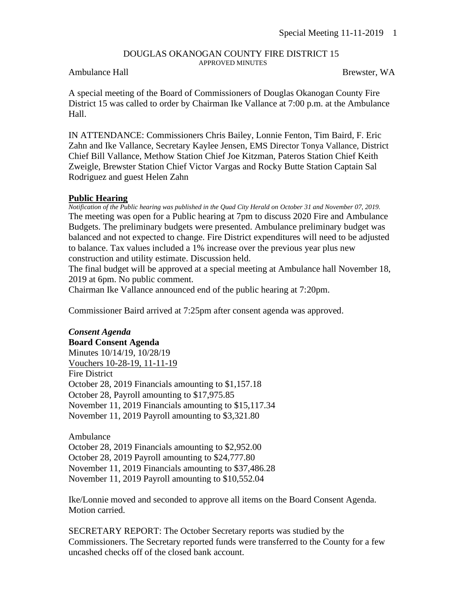#### DOUGLAS OKANOGAN COUNTY FIRE DISTRICT 15 APPROVED MINUTES

### Ambulance Hall Brewster, WA

A special meeting of the Board of Commissioners of Douglas Okanogan County Fire District 15 was called to order by Chairman Ike Vallance at 7:00 p.m. at the Ambulance Hall.

IN ATTENDANCE: Commissioners Chris Bailey, Lonnie Fenton, Tim Baird, F. Eric Zahn and Ike Vallance, Secretary Kaylee Jensen, EMS Director Tonya Vallance, District Chief Bill Vallance, Methow Station Chief Joe Kitzman, Pateros Station Chief Keith Zweigle, Brewster Station Chief Victor Vargas and Rocky Butte Station Captain Sal Rodriguez and guest Helen Zahn

## **Public Hearing**

*Notification of the Public hearing was published in the Quad City Herald on October 31 and November 07, 2019.* The meeting was open for a Public hearing at 7pm to discuss 2020 Fire and Ambulance Budgets. The preliminary budgets were presented. Ambulance preliminary budget was balanced and not expected to change. Fire District expenditures will need to be adjusted to balance. Tax values included a 1% increase over the previous year plus new construction and utility estimate. Discussion held.

The final budget will be approved at a special meeting at Ambulance hall November 18, 2019 at 6pm. No public comment.

Chairman Ike Vallance announced end of the public hearing at 7:20pm.

Commissioner Baird arrived at 7:25pm after consent agenda was approved.

*Consent Agenda* **Board Consent Agenda** Minutes 10/14/19, 10/28/19 Vouchers 10-28-19, 11-11-19 Fire District October 28, 2019 Financials amounting to \$1,157.18 October 28, Payroll amounting to \$17,975.85 November 11, 2019 Financials amounting to \$15,117.34 November 11, 2019 Payroll amounting to \$3,321.80

Ambulance October 28, 2019 Financials amounting to \$2,952.00 October 28, 2019 Payroll amounting to \$24,777.80 November 11, 2019 Financials amounting to \$37,486.28 November 11, 2019 Payroll amounting to \$10,552.04

Ike/Lonnie moved and seconded to approve all items on the Board Consent Agenda. Motion carried.

SECRETARY REPORT: The October Secretary reports was studied by the Commissioners. The Secretary reported funds were transferred to the County for a few uncashed checks off of the closed bank account.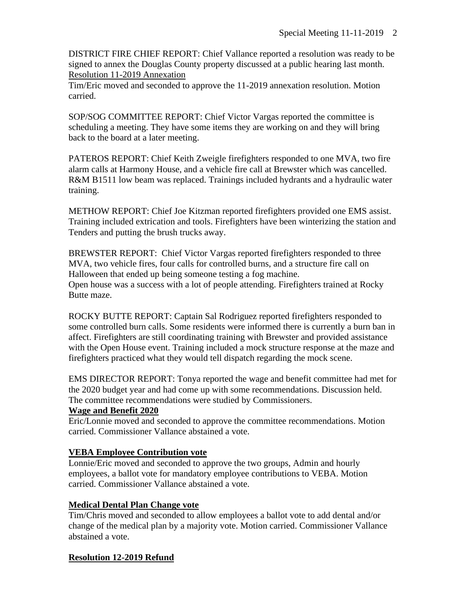DISTRICT FIRE CHIEF REPORT: Chief Vallance reported a resolution was ready to be signed to annex the Douglas County property discussed at a public hearing last month. Resolution 11-2019 Annexation

Tim/Eric moved and seconded to approve the 11-2019 annexation resolution. Motion carried.

SOP/SOG COMMITTEE REPORT: Chief Victor Vargas reported the committee is scheduling a meeting. They have some items they are working on and they will bring back to the board at a later meeting.

PATEROS REPORT: Chief Keith Zweigle firefighters responded to one MVA, two fire alarm calls at Harmony House, and a vehicle fire call at Brewster which was cancelled. R&M B1511 low beam was replaced. Trainings included hydrants and a hydraulic water training.

METHOW REPORT: Chief Joe Kitzman reported firefighters provided one EMS assist. Training included extrication and tools. Firefighters have been winterizing the station and Tenders and putting the brush trucks away.

BREWSTER REPORT: Chief Victor Vargas reported firefighters responded to three MVA, two vehicle fires, four calls for controlled burns, and a structure fire call on Halloween that ended up being someone testing a fog machine. Open house was a success with a lot of people attending. Firefighters trained at Rocky Butte maze.

ROCKY BUTTE REPORT: Captain Sal Rodriguez reported firefighters responded to some controlled burn calls. Some residents were informed there is currently a burn ban in affect. Firefighters are still coordinating training with Brewster and provided assistance with the Open House event. Training included a mock structure response at the maze and firefighters practiced what they would tell dispatch regarding the mock scene.

EMS DIRECTOR REPORT: Tonya reported the wage and benefit committee had met for the 2020 budget year and had come up with some recommendations. Discussion held. The committee recommendations were studied by Commissioners.

## **Wage and Benefit 2020**

Eric/Lonnie moved and seconded to approve the committee recommendations. Motion carried. Commissioner Vallance abstained a vote.

# **VEBA Employee Contribution vote**

Lonnie/Eric moved and seconded to approve the two groups, Admin and hourly employees, a ballot vote for mandatory employee contributions to VEBA. Motion carried. Commissioner Vallance abstained a vote.

# **Medical Dental Plan Change vote**

Tim/Chris moved and seconded to allow employees a ballot vote to add dental and/or change of the medical plan by a majority vote. Motion carried. Commissioner Vallance abstained a vote.

# **Resolution 12-2019 Refund**